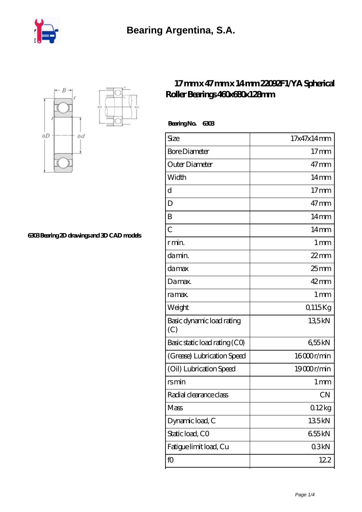



**[6303 Bearing 2D drawings and 3D CAD models](https://nbfk.org/pic-65200643.html)**

## **[17 mm x 47 mm x 14 mm 22092F1/YA Spherical](https://nbfk.org/bj-65200643-22092f1-ya-spherical-roller-bearings-460x680x128mm.html) [Roller Bearings 460x680x128mm](https://nbfk.org/bj-65200643-22092f1-ya-spherical-roller-bearings-460x680x128mm.html)**

 **Bearing No. 6303**

| Size                             | 17x47x14mm        |
|----------------------------------|-------------------|
| <b>Bore Diameter</b>             | $17 \text{mm}$    |
| Outer Diameter                   | $47 \text{mm}$    |
| Width                            | $14 \text{mm}$    |
| d                                | $17$ mm           |
| D                                | $47 \text{mm}$    |
| B                                | $14 \text{mm}$    |
| $\overline{C}$                   | $14 \text{mm}$    |
| r min.                           | $1 \,\mathrm{mm}$ |
| da min.                          | $22$ mm           |
| da max                           | $25$ mm           |
| Damax.                           | $42 \text{mm}$    |
| ra max.                          | $1 \,\mathrm{mm}$ |
| Weight                           | Q115Kg            |
| Basic dynamic load rating<br>(C) | 135kN             |
| Basic static load rating (CO)    | 655kN             |
| (Grease) Lubrication Speed       | 16000r/min        |
| (Oil) Lubrication Speed          | 19000r/min        |
| rsmin                            | 1 mm              |
| Radial clearance class           | <b>CN</b>         |
| Mass                             | 012kg             |
| Dynamic load, C                  | 135kN             |
| Static load, CO                  | 655kN             |
| Fatigue limit load, Cu           | 03kN              |
| fO                               | 122               |
|                                  |                   |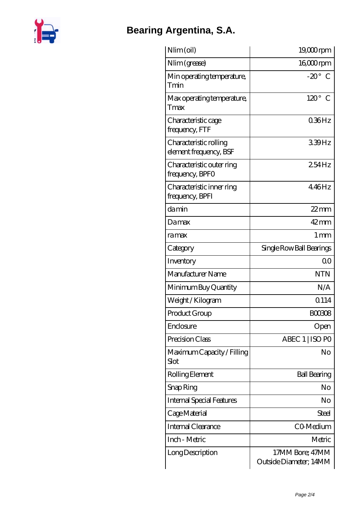

## **[Bearing Argentina, S.A.](https://nbfk.org)**

| Nlim (oil)                                       | 19,000rpm                                 |
|--------------------------------------------------|-------------------------------------------|
| Nlim (grease)                                    | $1600$ rpm                                |
| Min operating temperature,<br>Tmin               | $-20^\circ$ C                             |
| Max operating temperature,<br>Tmax               | $120^\circ$ C                             |
| Characteristic cage<br>frequency, FTF            | 036Hz                                     |
| Characteristic rolling<br>element frequency, BSF | 339Hz                                     |
| Characteristic outer ring<br>frequency, BPFO     | 254Hz                                     |
| Characteristic inner ring<br>frequency, BPFI     | 446Hz                                     |
| damin                                            | $22$ mm                                   |
| Damax                                            | $42$ mm                                   |
| ramax                                            | $1 \,\mathrm{mm}$                         |
| Category                                         | Single Row Ball Bearings                  |
| Inventory                                        | 0 <sup>0</sup>                            |
| Manufacturer Name                                | <b>NTN</b>                                |
| Minimum Buy Quantity                             | N/A                                       |
| Weight/Kilogram                                  | 0114                                      |
| Product Group                                    | <b>BOO308</b>                             |
| Enclosure                                        | Open                                      |
| Precision Class                                  | ABEC 1   ISO PO                           |
| Maximum Capacity / Filling<br>Slot               | No                                        |
| Rolling Element                                  | <b>Ball Bearing</b>                       |
| Snap Ring                                        | No                                        |
| <b>Internal Special Features</b>                 | No                                        |
| Cage Material                                    | Steel                                     |
| Internal Clearance                               | CO-Medium                                 |
| Inch - Metric                                    | Metric                                    |
| Long Description                                 | 17MM Bore; 47MM<br>Outside Diameter; 14MM |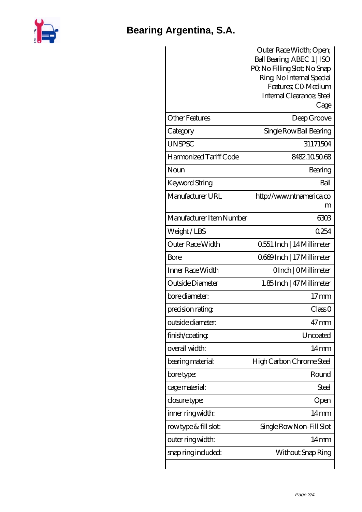

## **[Bearing Argentina, S.A.](https://nbfk.org)**

|                          | Outer Race Width; Open;<br>Ball Bearing ABEC 1   ISO<br>PQ No Filling Slot; No Snap<br>Ring, No Internal Special<br>Features: CO-Medium<br>Internal Clearance; Steel<br>Cage |
|--------------------------|------------------------------------------------------------------------------------------------------------------------------------------------------------------------------|
| <b>Other Features</b>    | Deep Groove                                                                                                                                                                  |
| Category                 | Single Row Ball Bearing                                                                                                                                                      |
| <b>UNSPSC</b>            | 31171504                                                                                                                                                                     |
| Harmonized Tariff Code   | 8482105068                                                                                                                                                                   |
| Noun                     | Bearing                                                                                                                                                                      |
| Keyword String           | Ball                                                                                                                                                                         |
| Manufacturer URL         | http://www.ntnamerica.co<br>m                                                                                                                                                |
| Manufacturer Item Number | 6303                                                                                                                                                                         |
| Weight/LBS               | 0254                                                                                                                                                                         |
| <b>Outer Race Width</b>  | 0.551 Inch   14 Millimeter                                                                                                                                                   |
| <b>Bore</b>              | Q669Inch   17 Millimeter                                                                                                                                                     |
| Inner Race Width         | OInch   OMillimeter                                                                                                                                                          |
| Outside Diameter         | 1.85 Inch   47 Millimeter                                                                                                                                                    |
| bore diameter:           | $17$ mm                                                                                                                                                                      |
| precision rating         | Class 0                                                                                                                                                                      |
| outside diameter:        | $47$ mm                                                                                                                                                                      |
| finish/coating           | Uncoated                                                                                                                                                                     |
| overall width:           | $14 \text{mm}$                                                                                                                                                               |
| bearing material:        | High Carbon Chrome Steel                                                                                                                                                     |
| bore type:               | Round                                                                                                                                                                        |
| cage material:           | Steel                                                                                                                                                                        |
| closure type:            | Open                                                                                                                                                                         |
| inner ring width:        | $14 \text{mm}$                                                                                                                                                               |
| rowtype & fill slot:     | Single Row Non-Fill Slot                                                                                                                                                     |
| outer ring width:        | $14 \text{mm}$                                                                                                                                                               |
| snap ring included:      | Without Snap Ring                                                                                                                                                            |
|                          |                                                                                                                                                                              |